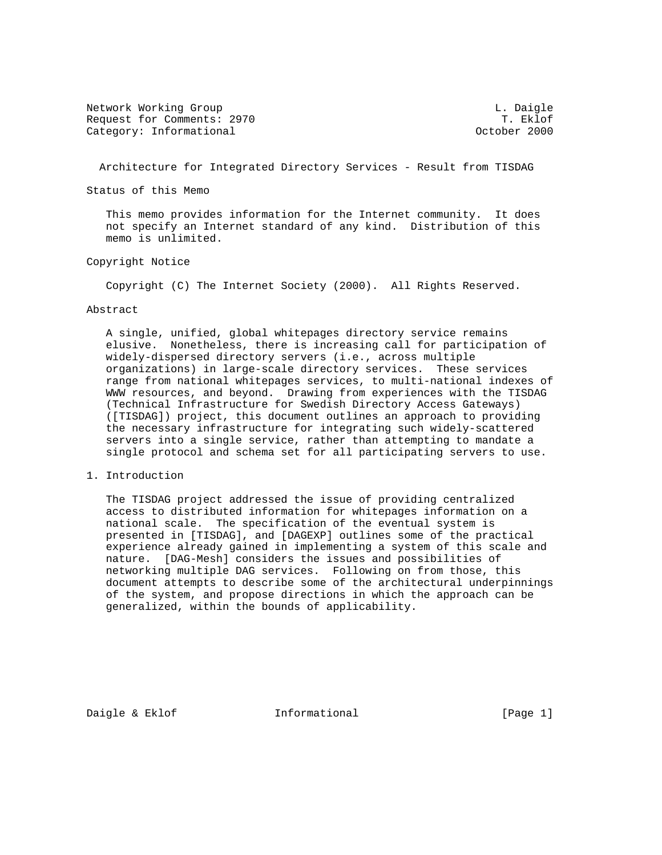Network Working Group (1999)<br>Request for Comments: 2970 (1999) T. Eklof Request for Comments: 2970 T. Eklof Category: Informational

Architecture for Integrated Directory Services - Result from TISDAG

Status of this Memo

 This memo provides information for the Internet community. It does not specify an Internet standard of any kind. Distribution of this memo is unlimited.

# Copyright Notice

Copyright (C) The Internet Society (2000). All Rights Reserved.

## Abstract

 A single, unified, global whitepages directory service remains elusive. Nonetheless, there is increasing call for participation of widely-dispersed directory servers (i.e., across multiple organizations) in large-scale directory services. These services range from national whitepages services, to multi-national indexes of WWW resources, and beyond. Drawing from experiences with the TISDAG (Technical Infrastructure for Swedish Directory Access Gateways) ([TISDAG]) project, this document outlines an approach to providing the necessary infrastructure for integrating such widely-scattered servers into a single service, rather than attempting to mandate a single protocol and schema set for all participating servers to use.

1. Introduction

 The TISDAG project addressed the issue of providing centralized access to distributed information for whitepages information on a national scale. The specification of the eventual system is presented in [TISDAG], and [DAGEXP] outlines some of the practical experience already gained in implementing a system of this scale and nature. [DAG-Mesh] considers the issues and possibilities of networking multiple DAG services. Following on from those, this document attempts to describe some of the architectural underpinnings of the system, and propose directions in which the approach can be generalized, within the bounds of applicability.

Daigle & Eklof **Informational** [Page 1]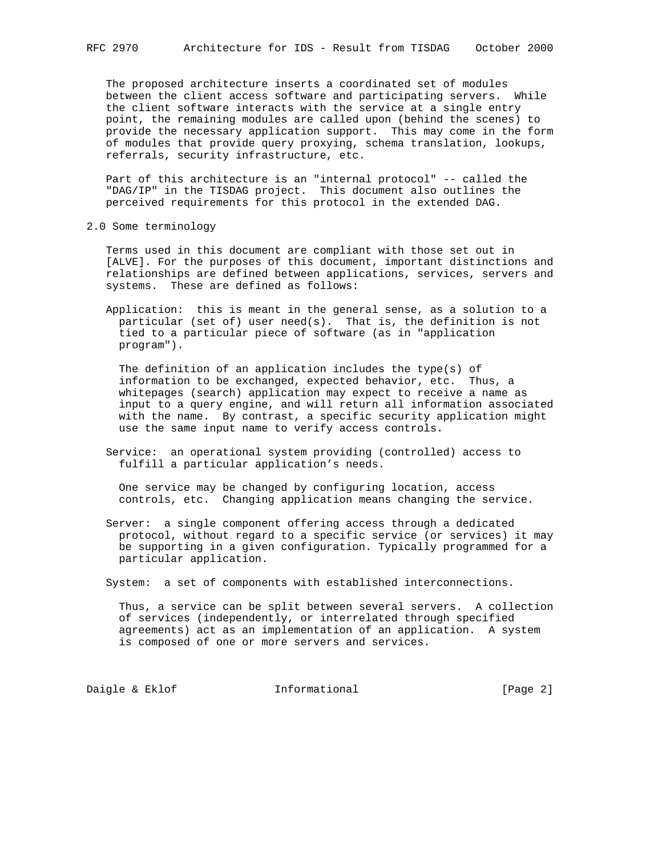The proposed architecture inserts a coordinated set of modules between the client access software and participating servers. While the client software interacts with the service at a single entry point, the remaining modules are called upon (behind the scenes) to provide the necessary application support. This may come in the form of modules that provide query proxying, schema translation, lookups, referrals, security infrastructure, etc.

 Part of this architecture is an "internal protocol" -- called the "DAG/IP" in the TISDAG project. This document also outlines the perceived requirements for this protocol in the extended DAG.

2.0 Some terminology

 Terms used in this document are compliant with those set out in [ALVE]. For the purposes of this document, important distinctions and relationships are defined between applications, services, servers and systems. These are defined as follows:

 Application: this is meant in the general sense, as a solution to a particular (set of) user need(s). That is, the definition is not tied to a particular piece of software (as in "application program").

 The definition of an application includes the type(s) of information to be exchanged, expected behavior, etc. Thus, a whitepages (search) application may expect to receive a name as input to a query engine, and will return all information associated with the name. By contrast, a specific security application might use the same input name to verify access controls.

 Service: an operational system providing (controlled) access to fulfill a particular application's needs.

 One service may be changed by configuring location, access controls, etc. Changing application means changing the service.

 Server: a single component offering access through a dedicated protocol, without regard to a specific service (or services) it may be supporting in a given configuration. Typically programmed for a particular application.

System: a set of components with established interconnections.

 Thus, a service can be split between several servers. A collection of services (independently, or interrelated through specified agreements) act as an implementation of an application. A system is composed of one or more servers and services.

Daigle & Eklof **Informational** [Page 2]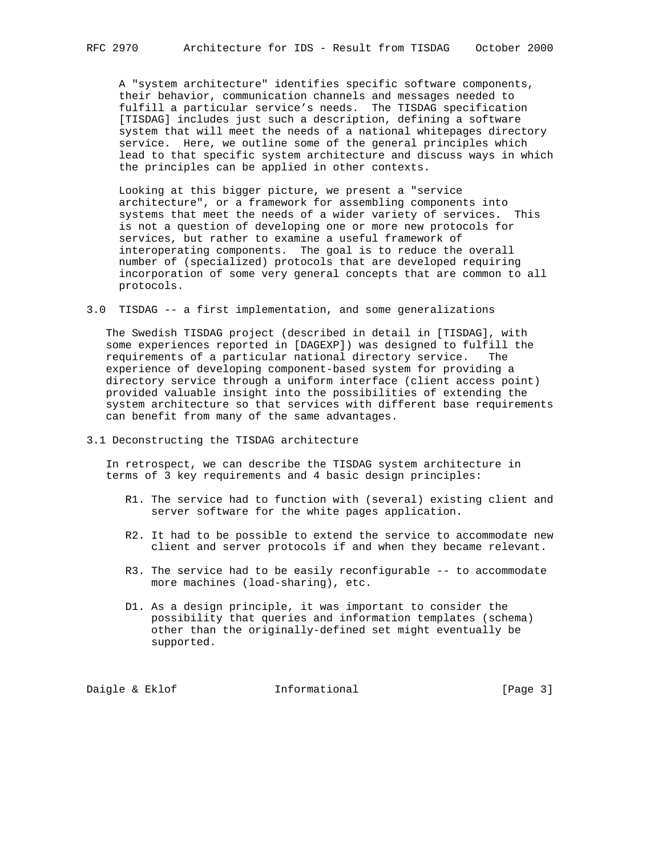A "system architecture" identifies specific software components, their behavior, communication channels and messages needed to fulfill a particular service's needs. The TISDAG specification [TISDAG] includes just such a description, defining a software system that will meet the needs of a national whitepages directory service. Here, we outline some of the general principles which lead to that specific system architecture and discuss ways in which the principles can be applied in other contexts.

 Looking at this bigger picture, we present a "service architecture", or a framework for assembling components into systems that meet the needs of a wider variety of services. This is not a question of developing one or more new protocols for services, but rather to examine a useful framework of interoperating components. The goal is to reduce the overall number of (specialized) protocols that are developed requiring incorporation of some very general concepts that are common to all protocols.

3.0 TISDAG -- a first implementation, and some generalizations

 The Swedish TISDAG project (described in detail in [TISDAG], with some experiences reported in [DAGEXP]) was designed to fulfill the requirements of a particular national directory service. The experience of developing component-based system for providing a directory service through a uniform interface (client access point) provided valuable insight into the possibilities of extending the system architecture so that services with different base requirements can benefit from many of the same advantages.

3.1 Deconstructing the TISDAG architecture

 In retrospect, we can describe the TISDAG system architecture in terms of 3 key requirements and 4 basic design principles:

- R1. The service had to function with (several) existing client and server software for the white pages application.
- R2. It had to be possible to extend the service to accommodate new client and server protocols if and when they became relevant.
- R3. The service had to be easily reconfigurable -- to accommodate more machines (load-sharing), etc.
- D1. As a design principle, it was important to consider the possibility that queries and information templates (schema) other than the originally-defined set might eventually be supported.

Daigle & Eklof **Informational** [Page 3]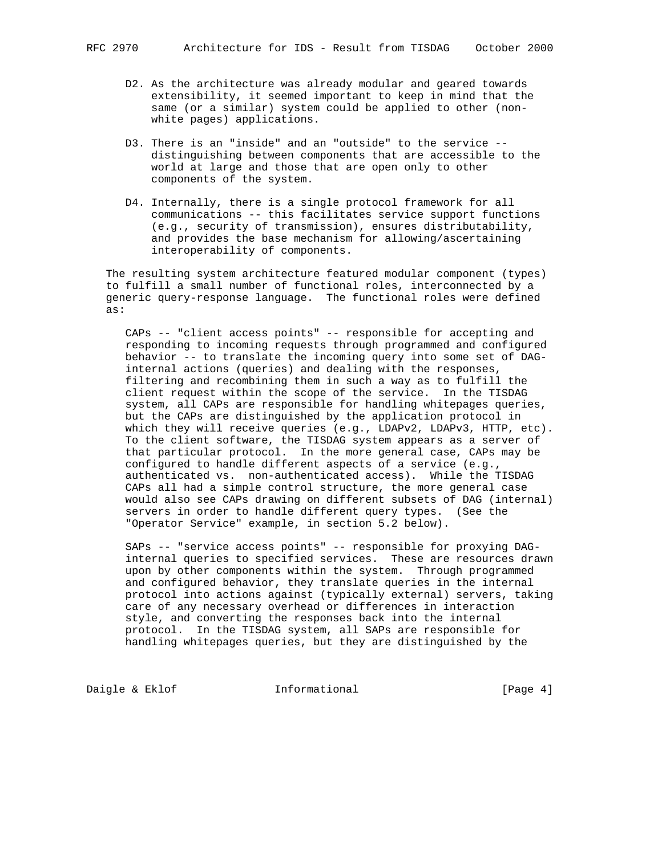- D2. As the architecture was already modular and geared towards extensibility, it seemed important to keep in mind that the same (or a similar) system could be applied to other (non white pages) applications.
- D3. There is an "inside" and an "outside" to the service distinguishing between components that are accessible to the world at large and those that are open only to other components of the system.
- D4. Internally, there is a single protocol framework for all communications -- this facilitates service support functions (e.g., security of transmission), ensures distributability, and provides the base mechanism for allowing/ascertaining interoperability of components.

 The resulting system architecture featured modular component (types) to fulfill a small number of functional roles, interconnected by a generic query-response language. The functional roles were defined as:

 CAPs -- "client access points" -- responsible for accepting and responding to incoming requests through programmed and configured behavior -- to translate the incoming query into some set of DAG internal actions (queries) and dealing with the responses, filtering and recombining them in such a way as to fulfill the client request within the scope of the service. In the TISDAG system, all CAPs are responsible for handling whitepages queries, but the CAPs are distinguished by the application protocol in which they will receive queries (e.g., LDAPv2, LDAPv3, HTTP, etc). To the client software, the TISDAG system appears as a server of that particular protocol. In the more general case, CAPs may be configured to handle different aspects of a service (e.g., authenticated vs. non-authenticated access). While the TISDAG CAPs all had a simple control structure, the more general case would also see CAPs drawing on different subsets of DAG (internal) servers in order to handle different query types. (See the "Operator Service" example, in section 5.2 below).

 SAPs -- "service access points" -- responsible for proxying DAG internal queries to specified services. These are resources drawn upon by other components within the system. Through programmed and configured behavior, they translate queries in the internal protocol into actions against (typically external) servers, taking care of any necessary overhead or differences in interaction style, and converting the responses back into the internal protocol. In the TISDAG system, all SAPs are responsible for handling whitepages queries, but they are distinguished by the

Daigle & Eklof **Informational** [Page 4]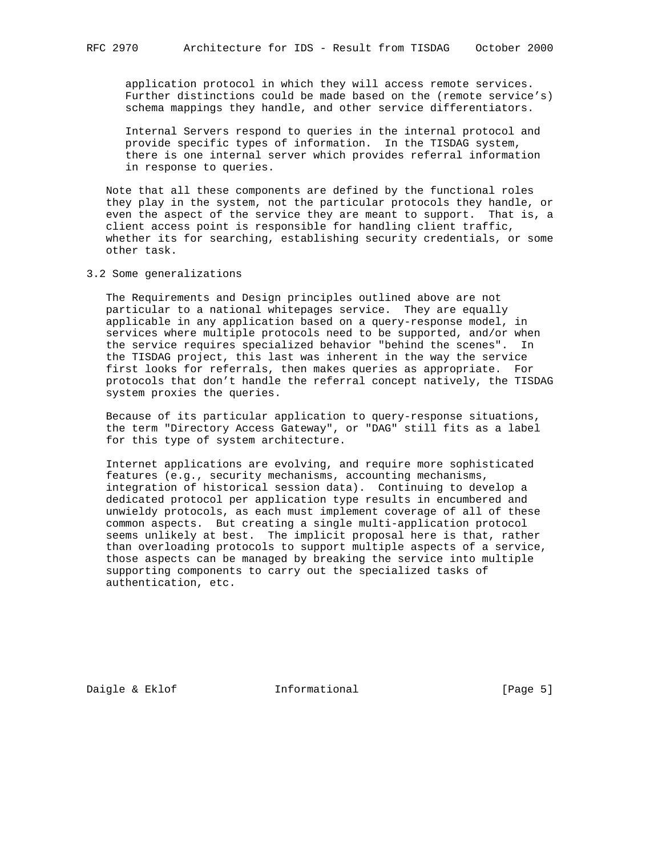application protocol in which they will access remote services. Further distinctions could be made based on the (remote service's) schema mappings they handle, and other service differentiators.

 Internal Servers respond to queries in the internal protocol and provide specific types of information. In the TISDAG system, there is one internal server which provides referral information in response to queries.

 Note that all these components are defined by the functional roles they play in the system, not the particular protocols they handle, or even the aspect of the service they are meant to support. That is, a client access point is responsible for handling client traffic, whether its for searching, establishing security credentials, or some other task.

3.2 Some generalizations

 The Requirements and Design principles outlined above are not particular to a national whitepages service. They are equally applicable in any application based on a query-response model, in services where multiple protocols need to be supported, and/or when the service requires specialized behavior "behind the scenes". In the TISDAG project, this last was inherent in the way the service first looks for referrals, then makes queries as appropriate. For protocols that don't handle the referral concept natively, the TISDAG system proxies the queries.

 Because of its particular application to query-response situations, the term "Directory Access Gateway", or "DAG" still fits as a label for this type of system architecture.

 Internet applications are evolving, and require more sophisticated features (e.g., security mechanisms, accounting mechanisms, integration of historical session data). Continuing to develop a dedicated protocol per application type results in encumbered and unwieldy protocols, as each must implement coverage of all of these common aspects. But creating a single multi-application protocol seems unlikely at best. The implicit proposal here is that, rather than overloading protocols to support multiple aspects of a service, those aspects can be managed by breaking the service into multiple supporting components to carry out the specialized tasks of authentication, etc.

Daigle & Eklof **Informational** [Page 5]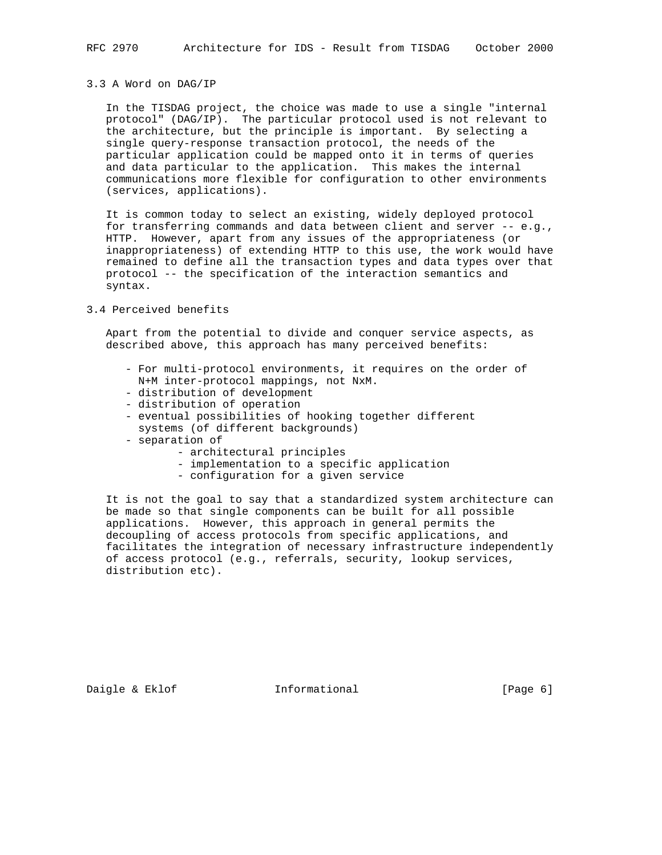## 3.3 A Word on DAG/IP

 In the TISDAG project, the choice was made to use a single "internal protocol" (DAG/IP). The particular protocol used is not relevant to the architecture, but the principle is important. By selecting a single query-response transaction protocol, the needs of the particular application could be mapped onto it in terms of queries and data particular to the application. This makes the internal communications more flexible for configuration to other environments (services, applications).

 It is common today to select an existing, widely deployed protocol for transferring commands and data between client and server -- e.g., HTTP. However, apart from any issues of the appropriateness (or inappropriateness) of extending HTTP to this use, the work would have remained to define all the transaction types and data types over that protocol -- the specification of the interaction semantics and syntax.

# 3.4 Perceived benefits

 Apart from the potential to divide and conquer service aspects, as described above, this approach has many perceived benefits:

- For multi-protocol environments, it requires on the order of N+M inter-protocol mappings, not NxM.
- distribution of development
- distribution of operation
- eventual possibilities of hooking together different systems (of different backgrounds)
- separation of
	- architectural principles
	- implementation to a specific application
	- configuration for a given service

 It is not the goal to say that a standardized system architecture can be made so that single components can be built for all possible applications. However, this approach in general permits the decoupling of access protocols from specific applications, and facilitates the integration of necessary infrastructure independently of access protocol (e.g., referrals, security, lookup services, distribution etc).

Daigle & Eklof **Informational** [Page 6]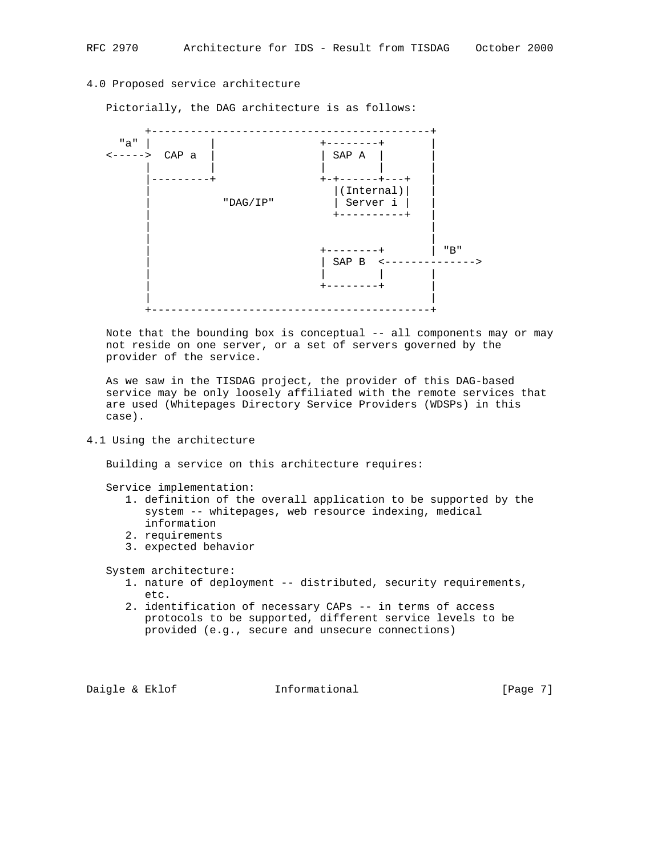# 4.0 Proposed service architecture

Pictorially, the DAG architecture is as follows:



 Note that the bounding box is conceptual -- all components may or may not reside on one server, or a set of servers governed by the provider of the service.

 As we saw in the TISDAG project, the provider of this DAG-based service may be only loosely affiliated with the remote services that are used (Whitepages Directory Service Providers (WDSPs) in this case).

4.1 Using the architecture

Building a service on this architecture requires:

Service implementation:

- 1. definition of the overall application to be supported by the system -- whitepages, web resource indexing, medical information
- 2. requirements
- 3. expected behavior

System architecture:

- 1. nature of deployment -- distributed, security requirements, etc.
- 2. identification of necessary CAPs -- in terms of access protocols to be supported, different service levels to be provided (e.g., secure and unsecure connections)

Daigle & Eklof **Informational** [Page 7]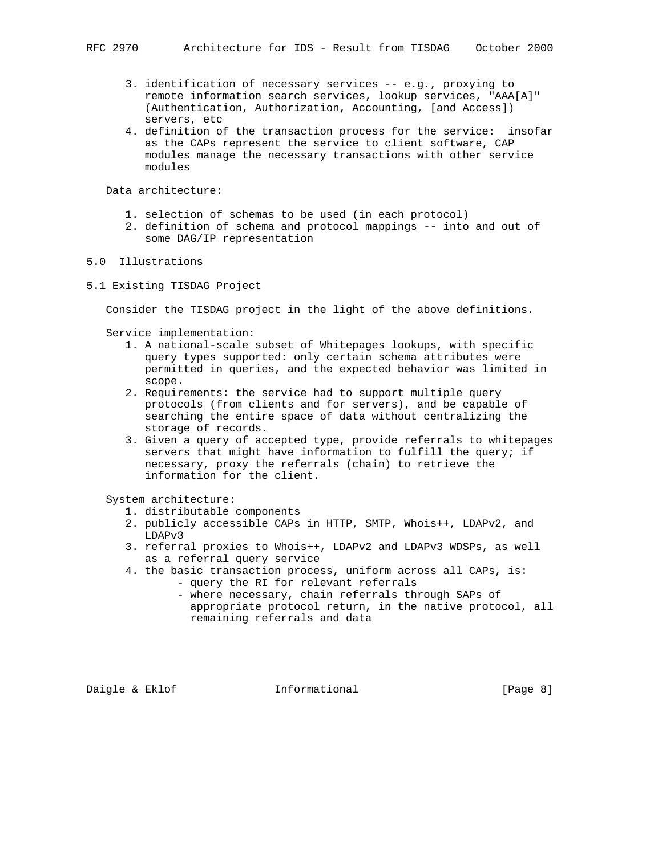- 3. identification of necessary services -- e.g., proxying to remote information search services, lookup services, "AAA[A]" (Authentication, Authorization, Accounting, [and Access]) servers, etc
- 4. definition of the transaction process for the service: insofar as the CAPs represent the service to client software, CAP modules manage the necessary transactions with other service modules

Data architecture:

- 1. selection of schemas to be used (in each protocol)
- 2. definition of schema and protocol mappings -- into and out of some DAG/IP representation

# 5.0 Illustrations

5.1 Existing TISDAG Project

Consider the TISDAG project in the light of the above definitions.

Service implementation:

- 1. A national-scale subset of Whitepages lookups, with specific query types supported: only certain schema attributes were permitted in queries, and the expected behavior was limited in scope.
- 2. Requirements: the service had to support multiple query protocols (from clients and for servers), and be capable of searching the entire space of data without centralizing the storage of records.
- 3. Given a query of accepted type, provide referrals to whitepages servers that might have information to fulfill the query; if necessary, proxy the referrals (chain) to retrieve the information for the client.

System architecture:

- 1. distributable components
- 2. publicly accessible CAPs in HTTP, SMTP, Whois++, LDAPv2, and LDAPv3
- 3. referral proxies to Whois++, LDAPv2 and LDAPv3 WDSPs, as well as a referral query service
- 4. the basic transaction process, uniform across all CAPs, is:
	- query the RI for relevant referrals
		- where necessary, chain referrals through SAPs of appropriate protocol return, in the native protocol, all remaining referrals and data

Daigle & Eklof **Informational Informational** [Page 8]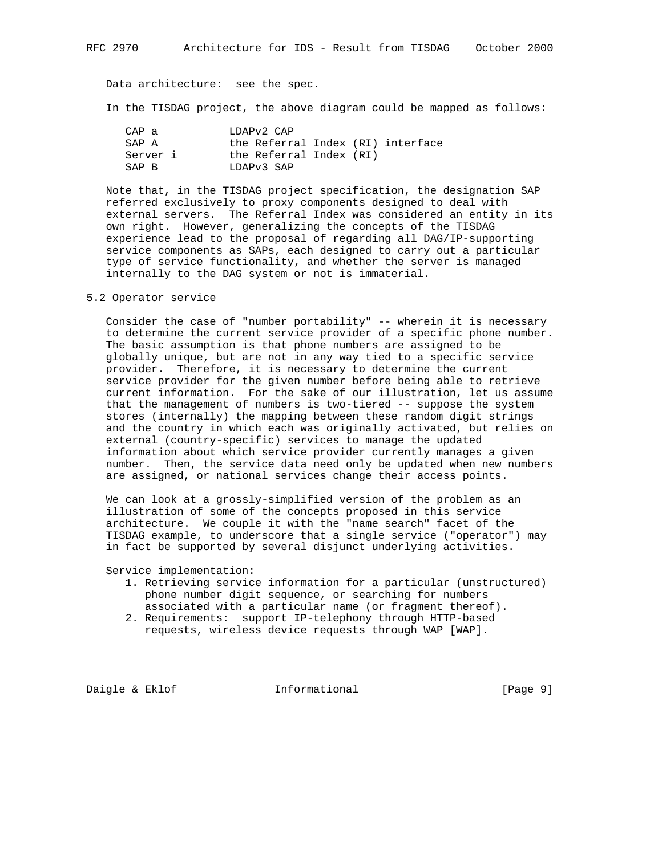Data architecture: see the spec.

In the TISDAG project, the above diagram could be mapped as follows:

| CAP a    | LDAPy2 CAP                        |
|----------|-----------------------------------|
| SAP A    | the Referral Index (RI) interface |
| Server i | the Referral Index (RI)           |
| SAP R    | LDAPy3 SAP                        |

 Note that, in the TISDAG project specification, the designation SAP referred exclusively to proxy components designed to deal with external servers. The Referral Index was considered an entity in its own right. However, generalizing the concepts of the TISDAG experience lead to the proposal of regarding all DAG/IP-supporting service components as SAPs, each designed to carry out a particular type of service functionality, and whether the server is managed internally to the DAG system or not is immaterial.

#### 5.2 Operator service

 Consider the case of "number portability" -- wherein it is necessary to determine the current service provider of a specific phone number. The basic assumption is that phone numbers are assigned to be globally unique, but are not in any way tied to a specific service provider. Therefore, it is necessary to determine the current service provider for the given number before being able to retrieve current information. For the sake of our illustration, let us assume that the management of numbers is two-tiered -- suppose the system stores (internally) the mapping between these random digit strings and the country in which each was originally activated, but relies on external (country-specific) services to manage the updated information about which service provider currently manages a given number. Then, the service data need only be updated when new numbers are assigned, or national services change their access points.

 We can look at a grossly-simplified version of the problem as an illustration of some of the concepts proposed in this service architecture. We couple it with the "name search" facet of the TISDAG example, to underscore that a single service ("operator") may in fact be supported by several disjunct underlying activities.

Service implementation:

- 1. Retrieving service information for a particular (unstructured) phone number digit sequence, or searching for numbers associated with a particular name (or fragment thereof).
- 2. Requirements: support IP-telephony through HTTP-based requests, wireless device requests through WAP [WAP].

Daigle & Eklof **Informational** [Page 9]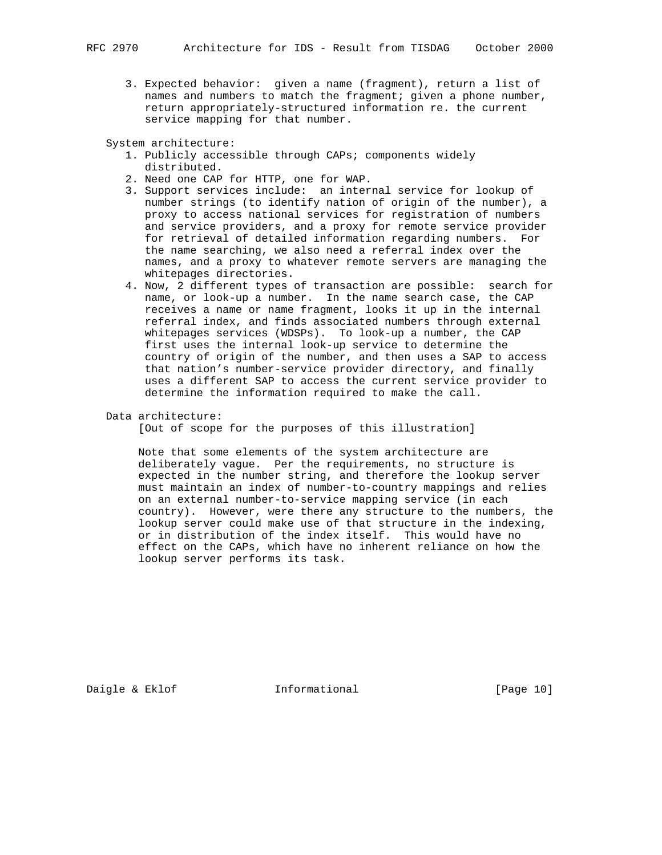3. Expected behavior: given a name (fragment), return a list of names and numbers to match the fragment; given a phone number, return appropriately-structured information re. the current service mapping for that number.

System architecture:

- 1. Publicly accessible through CAPs; components widely distributed.
- 2. Need one CAP for HTTP, one for WAP.
- 3. Support services include: an internal service for lookup of number strings (to identify nation of origin of the number), a proxy to access national services for registration of numbers and service providers, and a proxy for remote service provider for retrieval of detailed information regarding numbers. For the name searching, we also need a referral index over the names, and a proxy to whatever remote servers are managing the whitepages directories.
- 4. Now, 2 different types of transaction are possible: search for name, or look-up a number. In the name search case, the CAP receives a name or name fragment, looks it up in the internal referral index, and finds associated numbers through external whitepages services (WDSPs). To look-up a number, the CAP first uses the internal look-up service to determine the country of origin of the number, and then uses a SAP to access that nation's number-service provider directory, and finally uses a different SAP to access the current service provider to determine the information required to make the call.
- Data architecture:

[Out of scope for the purposes of this illustration]

 Note that some elements of the system architecture are deliberately vague. Per the requirements, no structure is expected in the number string, and therefore the lookup server must maintain an index of number-to-country mappings and relies on an external number-to-service mapping service (in each country). However, were there any structure to the numbers, the lookup server could make use of that structure in the indexing, or in distribution of the index itself. This would have no effect on the CAPs, which have no inherent reliance on how the lookup server performs its task.

Daigle & Eklof **Informational** [Page 10]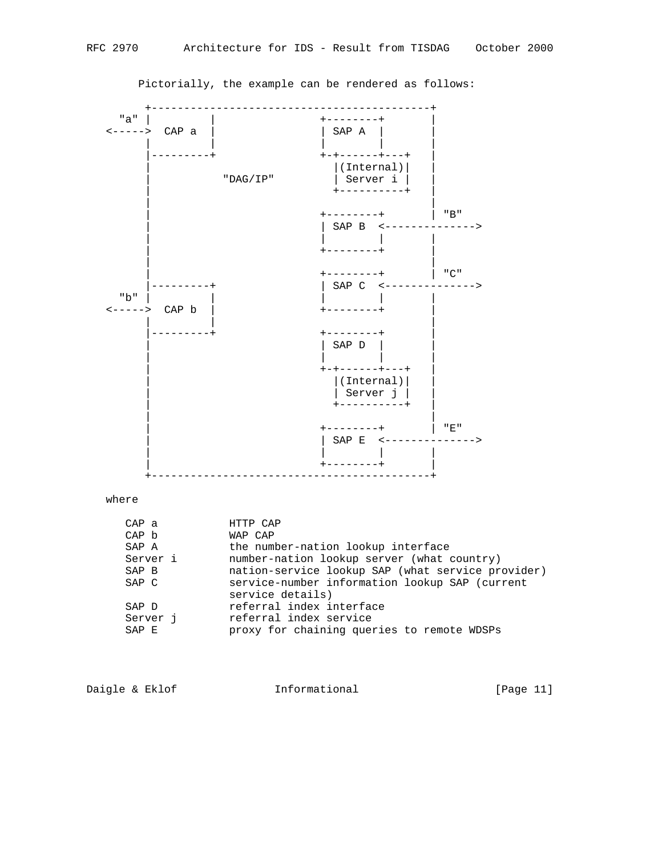



Pictorially, the example can be rendered as follows:

| WAP CAP                                                              |
|----------------------------------------------------------------------|
| the number-nation lookup interface                                   |
| number-nation lookup server (what country)                           |
| nation-service lookup SAP (what service provider)                    |
| service-number information lookup SAP (current<br>service details)   |
| referral index interface                                             |
| referral index service<br>proxy for chaining queries to remote WDSPs |
|                                                                      |

| Daigle & Eklof<br>Informational | [Page 11] |
|---------------------------------|-----------|
|---------------------------------|-----------|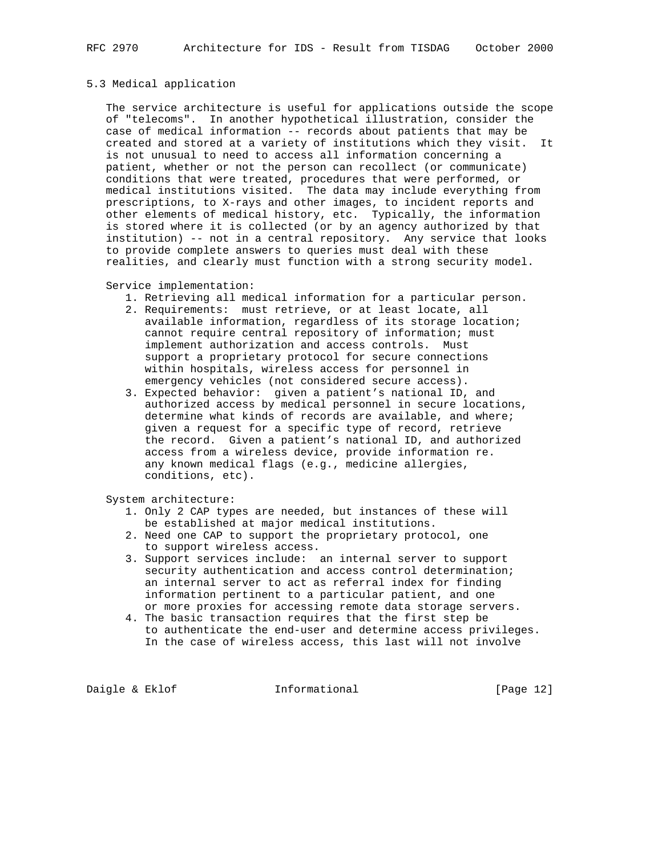# 5.3 Medical application

 The service architecture is useful for applications outside the scope of "telecoms". In another hypothetical illustration, consider the case of medical information -- records about patients that may be created and stored at a variety of institutions which they visit. It is not unusual to need to access all information concerning a patient, whether or not the person can recollect (or communicate) conditions that were treated, procedures that were performed, or medical institutions visited. The data may include everything from prescriptions, to X-rays and other images, to incident reports and other elements of medical history, etc. Typically, the information is stored where it is collected (or by an agency authorized by that institution) -- not in a central repository. Any service that looks to provide complete answers to queries must deal with these realities, and clearly must function with a strong security model.

## Service implementation:

- 1. Retrieving all medical information for a particular person.
- 2. Requirements: must retrieve, or at least locate, all available information, regardless of its storage location; cannot require central repository of information; must implement authorization and access controls. Must support a proprietary protocol for secure connections within hospitals, wireless access for personnel in emergency vehicles (not considered secure access).
- 3. Expected behavior: given a patient's national ID, and authorized access by medical personnel in secure locations, determine what kinds of records are available, and where; given a request for a specific type of record, retrieve the record. Given a patient's national ID, and authorized access from a wireless device, provide information re. any known medical flags (e.g., medicine allergies, conditions, etc).

System architecture:

- 1. Only 2 CAP types are needed, but instances of these will be established at major medical institutions.
- 2. Need one CAP to support the proprietary protocol, one to support wireless access.
- 3. Support services include: an internal server to support security authentication and access control determination; an internal server to act as referral index for finding information pertinent to a particular patient, and one or more proxies for accessing remote data storage servers.
- 4. The basic transaction requires that the first step be to authenticate the end-user and determine access privileges. In the case of wireless access, this last will not involve

Daigle & Eklof **Informational** [Page 12]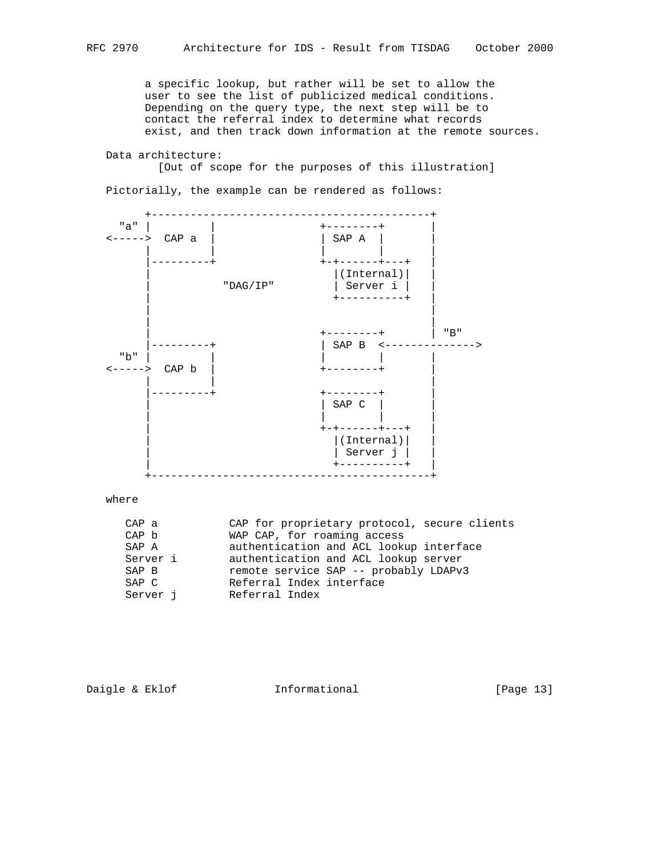a specific lookup, but rather will be set to allow the user to see the list of publicized medical conditions. Depending on the query type, the next step will be to contact the referral index to determine what records exist, and then track down information at the remote sources.

Data architecture:

[Out of scope for the purposes of this illustration]

Pictorially, the example can be rendered as follows:



where

| CAP a    | CAP for proprietary protocol, secure clients |
|----------|----------------------------------------------|
| CAP b    | WAP CAP, for roaming access                  |
| SAP A    | authentication and ACL lookup interface      |
| Server i | authentication and ACL lookup server         |
| SAP B    | remote service SAP -- probably LDAPv3        |
| SAP C    | Referral Index interface                     |
| Server i | Referral Index                               |
|          |                                              |

```
Daigle & Eklof Informational [Page 13]
```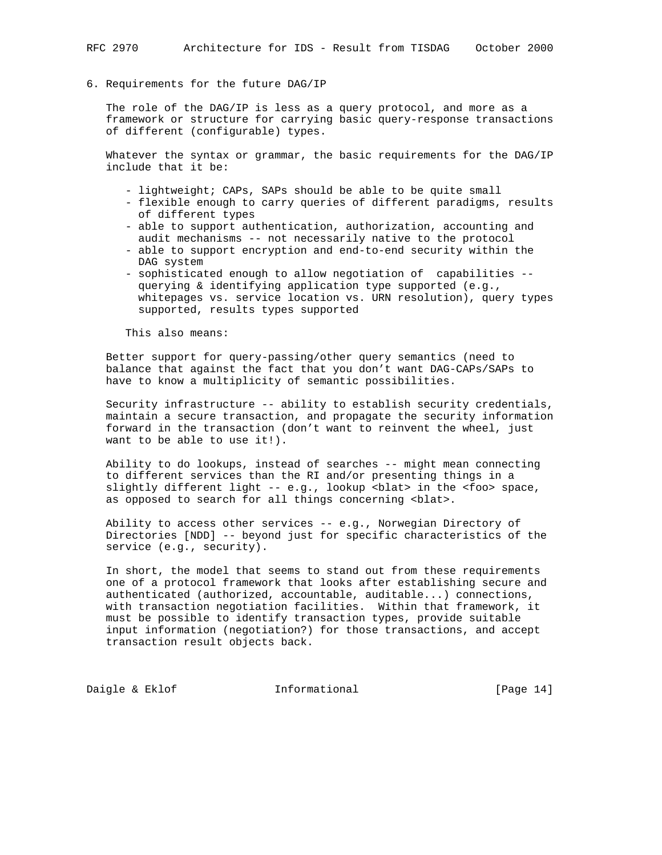## 6. Requirements for the future DAG/IP

 The role of the DAG/IP is less as a query protocol, and more as a framework or structure for carrying basic query-response transactions of different (configurable) types.

 Whatever the syntax or grammar, the basic requirements for the DAG/IP include that it be:

- lightweight; CAPs, SAPs should be able to be quite small
- flexible enough to carry queries of different paradigms, results of different types
- able to support authentication, authorization, accounting and audit mechanisms -- not necessarily native to the protocol
- able to support encryption and end-to-end security within the DAG system
- sophisticated enough to allow negotiation of capabilities querying & identifying application type supported (e.g., whitepages vs. service location vs. URN resolution), query types supported, results types supported

This also means:

 Better support for query-passing/other query semantics (need to balance that against the fact that you don't want DAG-CAPs/SAPs to have to know a multiplicity of semantic possibilities.

 Security infrastructure -- ability to establish security credentials, maintain a secure transaction, and propagate the security information forward in the transaction (don't want to reinvent the wheel, just want to be able to use it!).

 Ability to do lookups, instead of searches -- might mean connecting to different services than the RI and/or presenting things in a slightly different light -- e.g., lookup <br/>blat> in the <foo> space, as opposed to search for all things concerning <br/>blat>.

 Ability to access other services -- e.g., Norwegian Directory of Directories [NDD] -- beyond just for specific characteristics of the service (e.g., security).

 In short, the model that seems to stand out from these requirements one of a protocol framework that looks after establishing secure and authenticated (authorized, accountable, auditable...) connections, with transaction negotiation facilities. Within that framework, it must be possible to identify transaction types, provide suitable input information (negotiation?) for those transactions, and accept transaction result objects back.

Daigle & Eklof **Informational** [Page 14]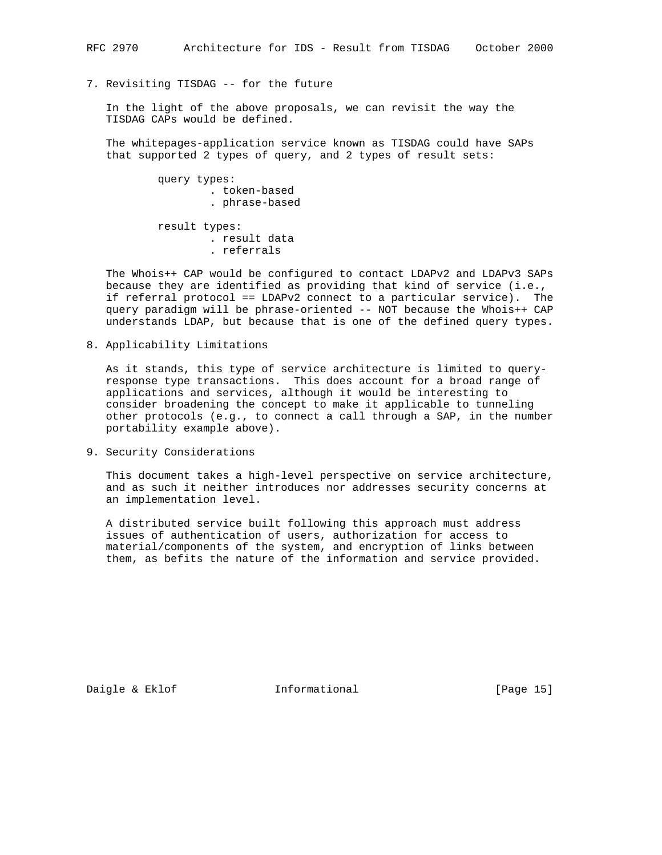# 7. Revisiting TISDAG -- for the future

 In the light of the above proposals, we can revisit the way the TISDAG CAPs would be defined.

 The whitepages-application service known as TISDAG could have SAPs that supported 2 types of query, and 2 types of result sets:

> query types: . token-based . phrase-based

 result types: . result data . referrals

 The Whois++ CAP would be configured to contact LDAPv2 and LDAPv3 SAPs because they are identified as providing that kind of service (i.e., if referral protocol == LDAPv2 connect to a particular service). The query paradigm will be phrase-oriented -- NOT because the Whois++ CAP understands LDAP, but because that is one of the defined query types.

8. Applicability Limitations

 As it stands, this type of service architecture is limited to query response type transactions. This does account for a broad range of applications and services, although it would be interesting to consider broadening the concept to make it applicable to tunneling other protocols (e.g., to connect a call through a SAP, in the number portability example above).

9. Security Considerations

 This document takes a high-level perspective on service architecture, and as such it neither introduces nor addresses security concerns at an implementation level.

 A distributed service built following this approach must address issues of authentication of users, authorization for access to material/components of the system, and encryption of links between them, as befits the nature of the information and service provided.

Daigle & Eklof **Informational** [Page 15]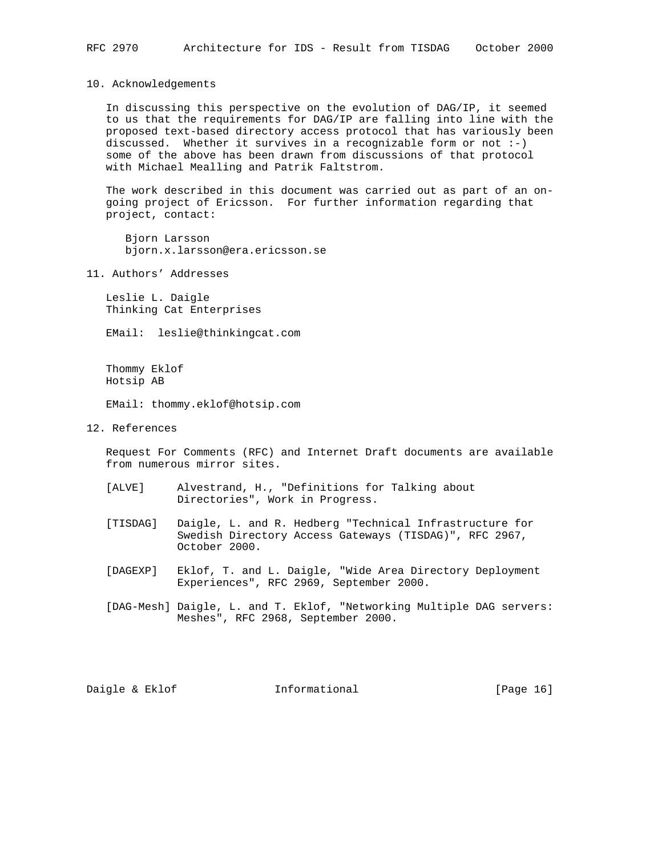10. Acknowledgements

 In discussing this perspective on the evolution of DAG/IP, it seemed to us that the requirements for DAG/IP are falling into line with the proposed text-based directory access protocol that has variously been discussed. Whether it survives in a recognizable form or not  $:-)$  some of the above has been drawn from discussions of that protocol with Michael Mealling and Patrik Faltstrom.

 The work described in this document was carried out as part of an on going project of Ericsson. For further information regarding that project, contact:

 Bjorn Larsson bjorn.x.larsson@era.ericsson.se

11. Authors' Addresses

 Leslie L. Daigle Thinking Cat Enterprises

EMail: leslie@thinkingcat.com

 Thommy Eklof Hotsip AB

EMail: thommy.eklof@hotsip.com

12. References

 Request For Comments (RFC) and Internet Draft documents are available from numerous mirror sites.

- [ALVE] Alvestrand, H., "Definitions for Talking about Directories", Work in Progress.
- [TISDAG] Daigle, L. and R. Hedberg "Technical Infrastructure for Swedish Directory Access Gateways (TISDAG)", RFC 2967, October 2000.
- [DAGEXP] Eklof, T. and L. Daigle, "Wide Area Directory Deployment Experiences", RFC 2969, September 2000.
- [DAG-Mesh] Daigle, L. and T. Eklof, "Networking Multiple DAG servers: Meshes", RFC 2968, September 2000.

Daigle & Eklof **Informational** [Page 16]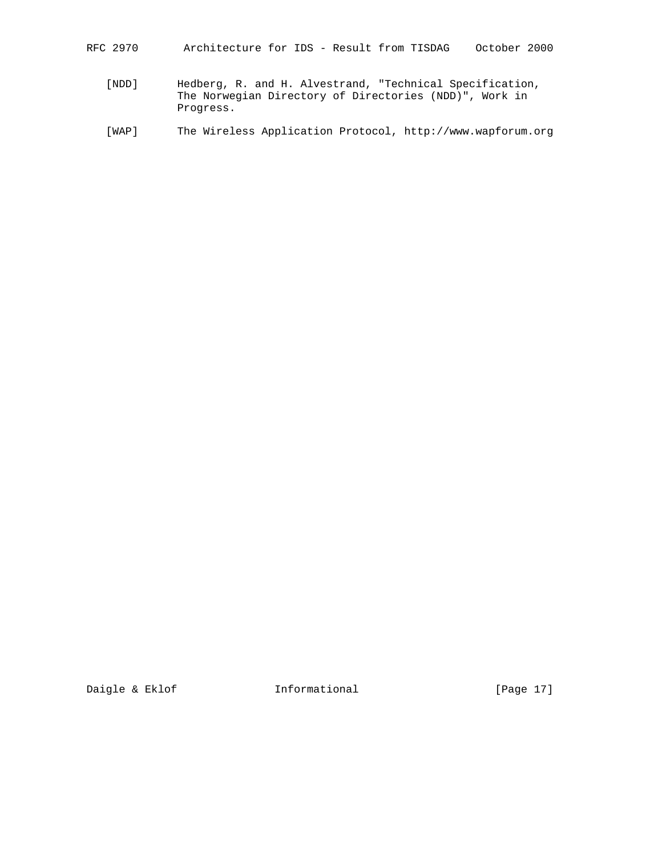- RFC 2970 Architecture for IDS Result from TISDAG October 2000
	- [NDD] Hedberg, R. and H. Alvestrand, "Technical Specification, The Norwegian Directory of Directories (NDD)", Work in Progress.
	- [WAP] The Wireless Application Protocol, http://www.wapforum.org